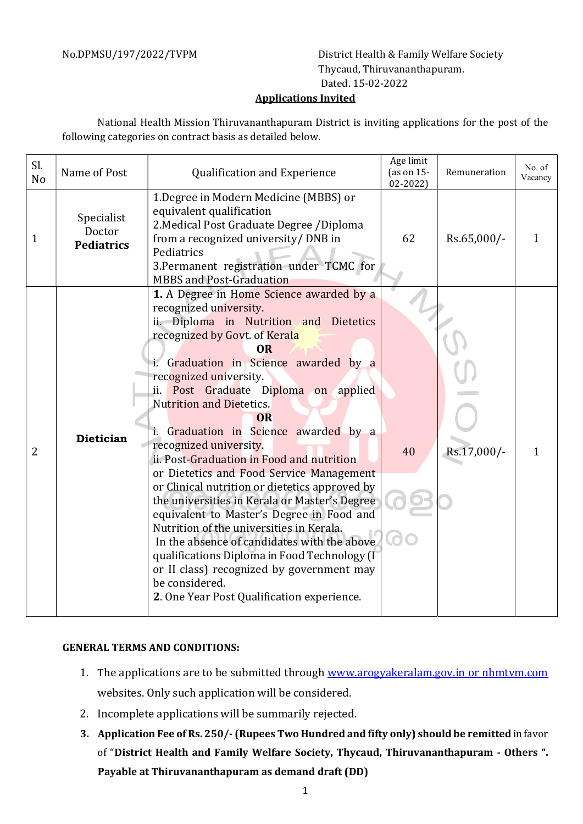No.DPMSU/197/2022/TVPM District Health & Family Welfare Society Thycaud, Thiruvananthapuram. Dated. 15-02-2022

## Applications Invited

National Health Mission Thiruvananthapuram District is inviting applications for the post of the following categories on contract basis as detailed below.

| Sl.<br>N <sub>o</sub> | Name of Post                              | Qualification and Experience                                                                                                                                                                                                                                                                                                                                                                                                                                                                                                                                                                                                                                                                                                                                                                                                                                                                   | Age limit<br>(as on 15-<br>$02 - 2022$ | Remuneration | No. of<br>Vacancy |
|-----------------------|-------------------------------------------|------------------------------------------------------------------------------------------------------------------------------------------------------------------------------------------------------------------------------------------------------------------------------------------------------------------------------------------------------------------------------------------------------------------------------------------------------------------------------------------------------------------------------------------------------------------------------------------------------------------------------------------------------------------------------------------------------------------------------------------------------------------------------------------------------------------------------------------------------------------------------------------------|----------------------------------------|--------------|-------------------|
| 1                     | Specialist<br>Doctor<br><b>Pediatrics</b> | 1. Degree in Modern Medicine (MBBS) or<br>equivalent qualification<br>2. Medical Post Graduate Degree / Diploma<br>from a recognized university/ DNB in<br>Pediatrics<br>3. Permanent registration under TCMC for<br><b>MBBS</b> and Post-Graduation                                                                                                                                                                                                                                                                                                                                                                                                                                                                                                                                                                                                                                           | 62                                     | Rs.65,000/-  | 1                 |
| $\overline{2}$        | <b>Dietician</b>                          | 1. A Degree in Home Science awarded by a<br>recognized university.<br>ii. Diploma in Nutrition and Dietetics<br>recognized by Govt. of Kerala<br><b>OR</b><br>i. Graduation in Science awarded by a<br>recognized university.<br>Post Graduate Diploma on applied<br>ii. I<br><b>Nutrition and Dietetics.</b><br><b>OR</b><br>i. Graduation in Science awarded by a<br>recognized university.<br>ii. Post-Graduation in Food and nutrition<br>or Dietetics and Food Service Management<br>or Clinical nutrition or dietetics approved by<br>the universities in Kerala or Master's Degree<br>equivalent to Master's Degree in Food and<br>Nutrition of the universities in Kerala.<br>In the absence of candidates with the above<br>qualifications Diploma in Food Technology (I<br>or II class) recognized by government may<br>be considered.<br>2. One Year Post Qualification experience. | 40                                     | Rs.17,000/-  | 1                 |

## GENERAL TERMS AND CONDITIONS:

- 1. The applications are to be submitted through www.arogyakeralam.gov.in or nhmtvm.com websites. Only such application will be considered.
- 2. Incomplete applications will be summarily rejected.
- 3. Application Fee of Rs. 250/- (Rupees Two Hundred and fifty only) should be remitted in favor of "District Health and Family Welfare Society, Thycaud, Thiruvananthapuram - Others ". Payable at Thiruvananthapuram as demand draft (DD)